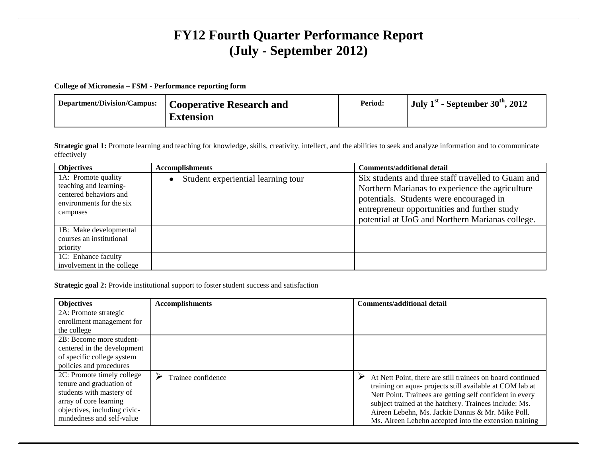## **FY12 Fourth Quarter Performance Report (July - September 2012)**

## **College of Micronesia – FSM - Performance reporting form**

| Department/Division/Campus:   Cooperative Research and | Period: | <sup>1</sup> July 1 <sup>st</sup> - September 30 <sup>th</sup> , 2012 |
|--------------------------------------------------------|---------|-----------------------------------------------------------------------|
| <b>Extension</b>                                       |         |                                                                       |

**Strategic goal 1:** Promote learning and teaching for knowledge, skills, creativity, intellect, and the abilities to seek and analyze information and to communicate effectively

| <b>Objectives</b>                                                                                               | <b>Accomplishments</b>             | <b>Comments/additional detail</b>                                                                                                                                                                                                                   |
|-----------------------------------------------------------------------------------------------------------------|------------------------------------|-----------------------------------------------------------------------------------------------------------------------------------------------------------------------------------------------------------------------------------------------------|
| 1A: Promote quality<br>teaching and learning-<br>centered behaviors and<br>environments for the six<br>campuses | Student experiential learning tour | Six students and three staff travelled to Guam and<br>Northern Marianas to experience the agriculture<br>potentials. Students were encouraged in<br>entrepreneur opportunities and further study<br>potential at UoG and Northern Marianas college. |
| 1B: Make developmental<br>courses an institutional<br>priority                                                  |                                    |                                                                                                                                                                                                                                                     |
| 1C: Enhance faculty<br>involvement in the college                                                               |                                    |                                                                                                                                                                                                                                                     |

## **Strategic goal 2:** Provide institutional support to foster student success and satisfaction

| <b>Objectives</b>                                                                                                                                                         | <b>Accomplishments</b> | <b>Comments/additional detail</b>                                                                                                                                                                                                                                                                                                                           |
|---------------------------------------------------------------------------------------------------------------------------------------------------------------------------|------------------------|-------------------------------------------------------------------------------------------------------------------------------------------------------------------------------------------------------------------------------------------------------------------------------------------------------------------------------------------------------------|
| 2A: Promote strategic                                                                                                                                                     |                        |                                                                                                                                                                                                                                                                                                                                                             |
| enrollment management for                                                                                                                                                 |                        |                                                                                                                                                                                                                                                                                                                                                             |
| the college                                                                                                                                                               |                        |                                                                                                                                                                                                                                                                                                                                                             |
| 2B: Become more student-                                                                                                                                                  |                        |                                                                                                                                                                                                                                                                                                                                                             |
| centered in the development                                                                                                                                               |                        |                                                                                                                                                                                                                                                                                                                                                             |
| of specific college system                                                                                                                                                |                        |                                                                                                                                                                                                                                                                                                                                                             |
| policies and procedures                                                                                                                                                   |                        |                                                                                                                                                                                                                                                                                                                                                             |
| 2C: Promote timely college<br>tenure and graduation of<br>students with mastery of<br>array of core learning<br>objectives, including civic-<br>mindedness and self-value | Trainee confidence     | At Nett Point, there are still trainees on board continued<br>training on aqua- projects still available at COM lab at<br>Nett Point. Trainees are getting self confident in every<br>subject trained at the hatchery. Trainees include: Ms.<br>Aireen Lebehn, Ms. Jackie Dannis & Mr. Mike Poll.<br>Ms. Aireen Lebehn accepted into the extension training |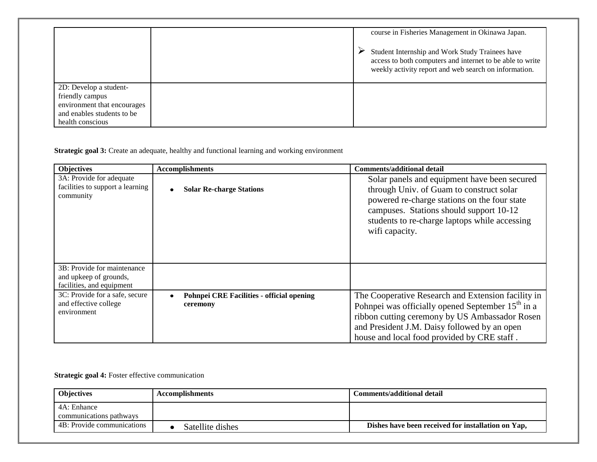|                                                                                                                            |  | course in Fisheries Management in Okinawa Japan.<br>Student Internship and Work Study Trainees have<br>access to both computers and internet to be able to write<br>weekly activity report and web search on information. |
|----------------------------------------------------------------------------------------------------------------------------|--|---------------------------------------------------------------------------------------------------------------------------------------------------------------------------------------------------------------------------|
| 2D: Develop a student-<br>friendly campus<br>environment that encourages<br>and enables students to be<br>health conscious |  |                                                                                                                                                                                                                           |

**Strategic goal 3:** Create an adequate, healthy and functional learning and working environment

| <b>Objectives</b>                                                                  | <b>Accomplishments</b>                                | <b>Comments/additional detail</b>                                                                                                                                                                                                                          |
|------------------------------------------------------------------------------------|-------------------------------------------------------|------------------------------------------------------------------------------------------------------------------------------------------------------------------------------------------------------------------------------------------------------------|
| 3A: Provide for adequate<br>facilities to support a learning<br>community          | <b>Solar Re-charge Stations</b>                       | Solar panels and equipment have been secured<br>through Univ. of Guam to construct solar<br>powered re-charge stations on the four state<br>campuses. Stations should support 10-12<br>students to re-charge laptops while accessing<br>wifi capacity.     |
| 3B: Provide for maintenance<br>and upkeep of grounds,<br>facilities, and equipment |                                                       |                                                                                                                                                                                                                                                            |
| 3C: Provide for a safe, secure<br>and effective college<br>environment             | Pohnpei CRE Facilities - official opening<br>ceremony | The Cooperative Research and Extension facility in<br>Pohnpei was officially opened September $15th$ in a<br>ribbon cutting ceremony by US Ambassador Rosen<br>and President J.M. Daisy followed by an open<br>house and local food provided by CRE staff. |

**Strategic goal 4:** Foster effective communication

| <b>Objectives</b>                      | <b>Accomplishments</b> | Comments/additional detail                         |  |  |
|----------------------------------------|------------------------|----------------------------------------------------|--|--|
| 4A: Enhance<br>communications pathways |                        |                                                    |  |  |
| 4B: Provide communications             | Satellite dishes       | Dishes have been received for installation on Yap, |  |  |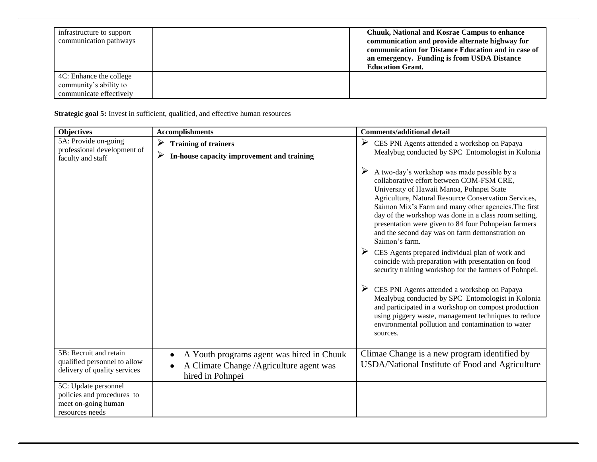| infrastructure to support<br>communication pathways                          | <b>Chuuk, National and Kosrae Campus to enhance</b><br>communication and provide alternate highway for<br>communication for Distance Education and in case of<br>an emergency. Funding is from USDA Distance<br><b>Education Grant.</b> |  |  |
|------------------------------------------------------------------------------|-----------------------------------------------------------------------------------------------------------------------------------------------------------------------------------------------------------------------------------------|--|--|
| 4C: Enhance the college<br>community's ability to<br>communicate effectively |                                                                                                                                                                                                                                         |  |  |

**Strategic goal 5:** Invest in sufficient, qualified, and effective human resources

| <b>Objectives</b>                                                                            | <b>Accomplishments</b>                                                                                   | <b>Comments/additional detail</b>                                                                                                                                                                                                                                                                                                                                                                                                                                                                                                                                                                                                                                                                                                                                                                                                                                                                           |
|----------------------------------------------------------------------------------------------|----------------------------------------------------------------------------------------------------------|-------------------------------------------------------------------------------------------------------------------------------------------------------------------------------------------------------------------------------------------------------------------------------------------------------------------------------------------------------------------------------------------------------------------------------------------------------------------------------------------------------------------------------------------------------------------------------------------------------------------------------------------------------------------------------------------------------------------------------------------------------------------------------------------------------------------------------------------------------------------------------------------------------------|
| 5A: Provide on-going<br>professional development of<br>faculty and staff                     | $\blacktriangleright$<br><b>Training of trainers</b><br>➤<br>In-house capacity improvement and training  | ➤<br>CES PNI Agents attended a workshop on Papaya<br>Mealybug conducted by SPC Entomologist in Kolonia                                                                                                                                                                                                                                                                                                                                                                                                                                                                                                                                                                                                                                                                                                                                                                                                      |
|                                                                                              |                                                                                                          | A two-day's workshop was made possible by a<br>➤<br>collaborative effort between COM-FSM CRE,<br>University of Hawaii Manoa, Pohnpei State<br>Agriculture, Natural Resource Conservation Services,<br>Saimon Mix's Farm and many other agencies. The first<br>day of the workshop was done in a class room setting,<br>presentation were given to 84 four Pohnpeian farmers<br>and the second day was on farm demonstration on<br>Saimon's farm.<br>CES Agents prepared individual plan of work and<br>coincide with preparation with presentation on food<br>security training workshop for the farmers of Pohnpei.<br>CES PNI Agents attended a workshop on Papaya<br>Mealybug conducted by SPC Entomologist in Kolonia<br>and participated in a workshop on compost production<br>using piggery waste, management techniques to reduce<br>environmental pollution and contamination to water<br>sources. |
| 5B: Recruit and retain<br>qualified personnel to allow<br>delivery of quality services       | A Youth programs agent was hired in Chuuk<br>A Climate Change /Agriculture agent was<br>hired in Pohnpei | Climae Change is a new program identified by<br>USDA/National Institute of Food and Agriculture                                                                                                                                                                                                                                                                                                                                                                                                                                                                                                                                                                                                                                                                                                                                                                                                             |
| 5C: Update personnel<br>policies and procedures to<br>meet on-going human<br>resources needs |                                                                                                          |                                                                                                                                                                                                                                                                                                                                                                                                                                                                                                                                                                                                                                                                                                                                                                                                                                                                                                             |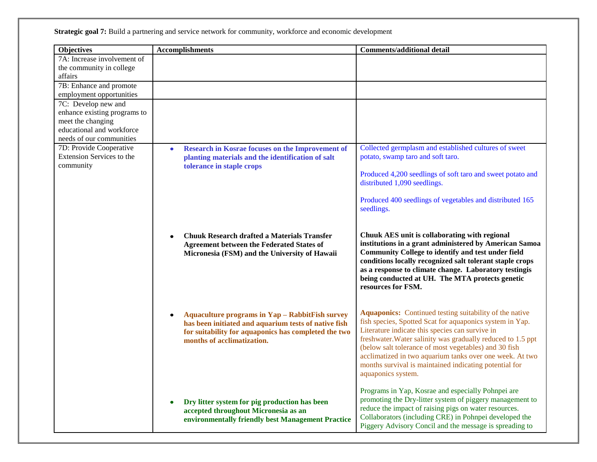**Strategic goal 7:** Build a partnering and service network for community, workforce and economic development

| <b>Objectives</b>                | <b>Accomplishments</b>                                                                                                                                                                                            | <b>Comments/additional detail</b>                                                                                                                                                                                                                                                                                                                                                                                                          |
|----------------------------------|-------------------------------------------------------------------------------------------------------------------------------------------------------------------------------------------------------------------|--------------------------------------------------------------------------------------------------------------------------------------------------------------------------------------------------------------------------------------------------------------------------------------------------------------------------------------------------------------------------------------------------------------------------------------------|
| 7A: Increase involvement of      |                                                                                                                                                                                                                   |                                                                                                                                                                                                                                                                                                                                                                                                                                            |
| the community in college         |                                                                                                                                                                                                                   |                                                                                                                                                                                                                                                                                                                                                                                                                                            |
| affairs                          |                                                                                                                                                                                                                   |                                                                                                                                                                                                                                                                                                                                                                                                                                            |
| 7B: Enhance and promote          |                                                                                                                                                                                                                   |                                                                                                                                                                                                                                                                                                                                                                                                                                            |
| employment opportunities         |                                                                                                                                                                                                                   |                                                                                                                                                                                                                                                                                                                                                                                                                                            |
| 7C: Develop new and              |                                                                                                                                                                                                                   |                                                                                                                                                                                                                                                                                                                                                                                                                                            |
| enhance existing programs to     |                                                                                                                                                                                                                   |                                                                                                                                                                                                                                                                                                                                                                                                                                            |
| meet the changing                |                                                                                                                                                                                                                   |                                                                                                                                                                                                                                                                                                                                                                                                                                            |
| educational and workforce        |                                                                                                                                                                                                                   |                                                                                                                                                                                                                                                                                                                                                                                                                                            |
| needs of our communities         |                                                                                                                                                                                                                   |                                                                                                                                                                                                                                                                                                                                                                                                                                            |
| 7D: Provide Cooperative          | <b>Research in Kosrae focuses on the Improvement of</b><br>$\bullet$                                                                                                                                              | Collected germplasm and established cultures of sweet                                                                                                                                                                                                                                                                                                                                                                                      |
| <b>Extension Services to the</b> | planting materials and the identification of salt                                                                                                                                                                 | potato, swamp taro and soft taro.                                                                                                                                                                                                                                                                                                                                                                                                          |
| community                        | tolerance in staple crops                                                                                                                                                                                         |                                                                                                                                                                                                                                                                                                                                                                                                                                            |
|                                  |                                                                                                                                                                                                                   | Produced 4,200 seedlings of soft taro and sweet potato and<br>distributed 1,090 seedlings.                                                                                                                                                                                                                                                                                                                                                 |
|                                  |                                                                                                                                                                                                                   | Produced 400 seedlings of vegetables and distributed 165<br>seedlings.                                                                                                                                                                                                                                                                                                                                                                     |
|                                  | <b>Chuuk Research drafted a Materials Transfer</b><br><b>Agreement between the Federated States of</b><br>Micronesia (FSM) and the University of Hawaii                                                           | Chuuk AES unit is collaborating with regional<br>institutions in a grant administered by American Samoa<br>Community College to identify and test under field<br>conditions locally recognized salt tolerant staple crops<br>as a response to climate change. Laboratory testingis<br>being conducted at UH. The MTA protects genetic<br>resources for FSM.                                                                                |
|                                  | <b>Aquaculture programs in Yap - RabbitFish survey</b><br>$\bullet$<br>has been initiated and aquarium tests of native fish<br>for suitability for aquaponics has completed the two<br>months of acclimatization. | Aquaponics: Continued testing suitability of the native<br>fish species, Spotted Scat for aquaponics system in Yap.<br>Literature indicate this species can survive in<br>freshwater. Water salinity was gradually reduced to 1.5 ppt<br>(below salt tolerance of most vegetables) and 30 fish<br>acclimatized in two aquarium tanks over one week. At two<br>months survival is maintained indicating potential for<br>aquaponics system. |
|                                  | Dry litter system for pig production has been<br>accepted throughout Micronesia as an<br>environmentally friendly best Management Practice                                                                        | Programs in Yap, Kosrae and especially Pohnpei are<br>promoting the Dry-litter system of piggery management to<br>reduce the impact of raising pigs on water resources.<br>Collaborators (including CRE) in Pohnpei developed the<br>Piggery Advisory Concil and the message is spreading to                                                                                                                                               |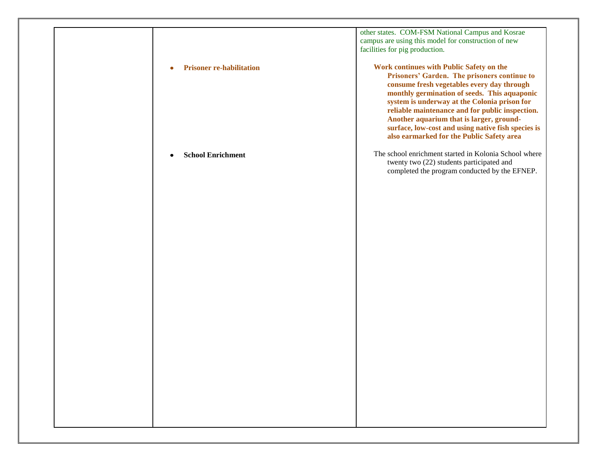